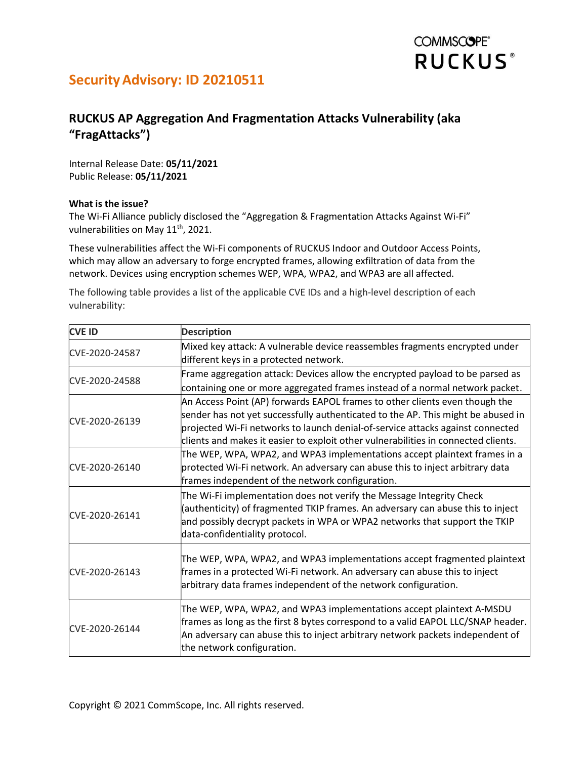# **COMMSCOPE® RUCKUS**<sup>®</sup>

## Security Advisory: ID 20210511

## RUCKUS AP Aggregation And Fragmentation Attacks Vulnerability (aka "FragAttacks")

Internal Release Date: 05/11/2021 Public Release: 05/11/2021

### What is the issue?

The Wi-Fi Alliance publicly disclosed the "Aggregation & Fragmentation Attacks Against Wi-Fi" vulnerabilities on May 11<sup>th</sup>, 2021.

These vulnerabilities affect the Wi-Fi components of RUCKUS Indoor and Outdoor Access Points, which may allow an adversary to forge encrypted frames, allowing exfiltration of data from the network. Devices using encryption schemes WEP, WPA, WPA2, and WPA3 are all affected.

The following table provides a list of the applicable CVE IDs and a high-level description of each vulnerability:

| <b>CVE ID</b>  | <b>Description</b>                                                                                                                                                                                                                                                                                                                      |  |  |
|----------------|-----------------------------------------------------------------------------------------------------------------------------------------------------------------------------------------------------------------------------------------------------------------------------------------------------------------------------------------|--|--|
| CVE-2020-24587 | Mixed key attack: A vulnerable device reassembles fragments encrypted under<br>different keys in a protected network.                                                                                                                                                                                                                   |  |  |
| CVE-2020-24588 | Frame aggregation attack: Devices allow the encrypted payload to be parsed as<br>containing one or more aggregated frames instead of a normal network packet.                                                                                                                                                                           |  |  |
| CVE-2020-26139 | An Access Point (AP) forwards EAPOL frames to other clients even though the<br>sender has not yet successfully authenticated to the AP. This might be abused in<br>projected Wi-Fi networks to launch denial-of-service attacks against connected<br>clients and makes it easier to exploit other vulnerabilities in connected clients. |  |  |
| CVE-2020-26140 | The WEP, WPA, WPA2, and WPA3 implementations accept plaintext frames in a<br>protected Wi-Fi network. An adversary can abuse this to inject arbitrary data<br>frames independent of the network configuration.                                                                                                                          |  |  |
| CVE-2020-26141 | The Wi-Fi implementation does not verify the Message Integrity Check<br>(authenticity) of fragmented TKIP frames. An adversary can abuse this to inject<br>and possibly decrypt packets in WPA or WPA2 networks that support the TKIP<br>data-confidentiality protocol.                                                                 |  |  |
| CVE-2020-26143 | The WEP, WPA, WPA2, and WPA3 implementations accept fragmented plaintext<br>frames in a protected Wi-Fi network. An adversary can abuse this to inject<br>arbitrary data frames independent of the network configuration.                                                                                                               |  |  |
| CVE-2020-26144 | The WEP, WPA, WPA2, and WPA3 implementations accept plaintext A-MSDU<br>frames as long as the first 8 bytes correspond to a valid EAPOL LLC/SNAP header.<br>An adversary can abuse this to inject arbitrary network packets independent of<br>the network configuration.                                                                |  |  |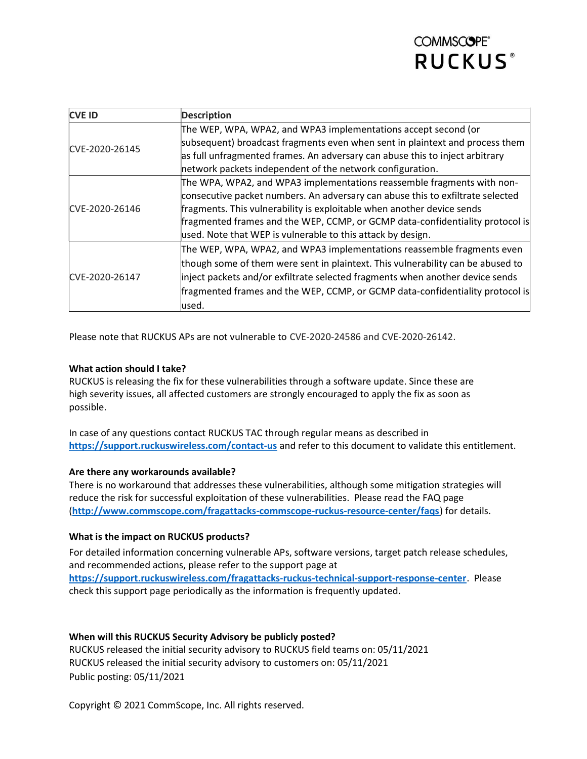# **COMMSCOPE® RUCKUS**<sup>®</sup>

| <b>CVE ID</b>  | <b>Description</b>                                                              |  |
|----------------|---------------------------------------------------------------------------------|--|
| CVE-2020-26145 | The WEP, WPA, WPA2, and WPA3 implementations accept second (or                  |  |
|                | subsequent) broadcast fragments even when sent in plaintext and process them    |  |
|                | as full unfragmented frames. An adversary can abuse this to inject arbitrary    |  |
|                | network packets independent of the network configuration.                       |  |
| CVE-2020-26146 | The WPA, WPA2, and WPA3 implementations reassemble fragments with non-          |  |
|                | consecutive packet numbers. An adversary can abuse this to exfiltrate selected  |  |
|                | fragments. This vulnerability is exploitable when another device sends          |  |
|                | fragmented frames and the WEP, CCMP, or GCMP data-confidentiality protocol is   |  |
|                | used. Note that WEP is vulnerable to this attack by design.                     |  |
| CVE-2020-26147 | The WEP, WPA, WPA2, and WPA3 implementations reassemble fragments even          |  |
|                | though some of them were sent in plaintext. This vulnerability can be abused to |  |
|                | inject packets and/or exfiltrate selected fragments when another device sends   |  |
|                | fragmented frames and the WEP, CCMP, or GCMP data-confidentiality protocol is   |  |
|                | used.                                                                           |  |

Please note that RUCKUS APs are not vulnerable to CVE-2020-24586 and CVE-2020-26142.

### What action should I take?

RUCKUS is releasing the fix for these vulnerabilities through a software update. Since these are high severity issues, all affected customers are strongly encouraged to apply the fix as soon as possible.

In case of any questions contact RUCKUS TAC through regular means as described in https://support.ruckuswireless.com/contact-us and refer to this document to validate this entitlement.

#### Are there any workarounds available?

There is no workaround that addresses these vulnerabilities, although some mitigation strategies will reduce the risk for successful exploitation of these vulnerabilities. Please read the FAQ page (http://www.commscope.com/fragattacks-commscope-ruckus-resource-center/faqs) for details.

#### What is the impact on RUCKUS products?

For detailed information concerning vulnerable APs, software versions, target patch release schedules, and recommended actions, please refer to the support page at https://support.ruckuswireless.com/fragattacks-ruckus-technical-support-response-center. Please check this support page periodically as the information is frequently updated.

### When will this RUCKUS Security Advisory be publicly posted?

RUCKUS released the initial security advisory to RUCKUS field teams on: 05/11/2021 RUCKUS released the initial security advisory to customers on: 05/11/2021 Public posting: 05/11/2021

Copyright © 2021 CommScope, Inc. All rights reserved.